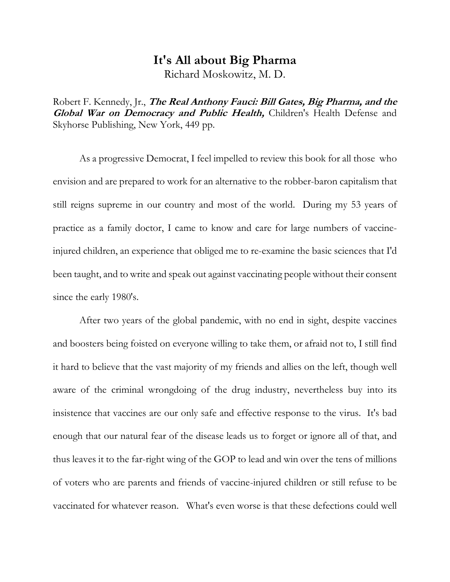# **It's All about Big Pharma**

Richard Moskowitz, M. D.

Robert F. Kennedy, Jr., **The Real Anthony Fauci: Bill Gates, Big Pharma, and the Global War on Democracy and Public Health,** Children's Health Defense and Skyhorse Publishing, New York, 449 pp.

As a progressive Democrat, I feel impelled to review this book for all those who envision and are prepared to work for an alternative to the robber-baron capitalism that still reigns supreme in our country and most of the world. During my 53 years of practice as a family doctor, I came to know and care for large numbers of vaccineinjured children, an experience that obliged me to re-examine the basic sciences that I'd been taught, and to write and speak out against vaccinating people without their consent since the early 1980's.

After two years of the global pandemic, with no end in sight, despite vaccines and boosters being foisted on everyone willing to take them, or afraid not to, I still find it hard to believe that the vast majority of my friends and allies on the left, though well aware of the criminal wrongdoing of the drug industry, nevertheless buy into its insistence that vaccines are our only safe and effective response to the virus. It's bad enough that our natural fear of the disease leads us to forget or ignore all of that, and thus leaves it to the far-right wing of the GOP to lead and win over the tens of millions of voters who are parents and friends of vaccine-injured children or still refuse to be vaccinated for whatever reason. What's even worse is that these defections could well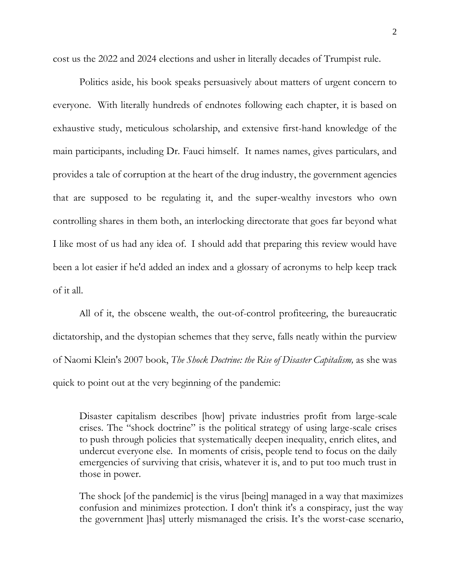cost us the 2022 and 2024 elections and usher in literally decades of Trumpist rule.

Politics aside, his book speaks persuasively about matters of urgent concern to everyone. With literally hundreds of endnotes following each chapter, it is based on exhaustive study, meticulous scholarship, and extensive first-hand knowledge of the main participants, including Dr. Fauci himself. It names names, gives particulars, and provides a tale of corruption at the heart of the drug industry, the government agencies that are supposed to be regulating it, and the super-wealthy investors who own controlling shares in them both, an interlocking directorate that goes far beyond what I like most of us had any idea of. I should add that preparing this review would have been a lot easier if he'd added an index and a glossary of acronyms to help keep track of it all.

All of it, the obscene wealth, the out-of-control profiteering, the bureaucratic dictatorship, and the dystopian schemes that they serve, falls neatly within the purview of Naomi Klein's 2007 book, *The Shock Doctrine: the Rise of Disaster Capitalism,* as she was quick to point out at the very beginning of the pandemic:

Disaster capitalism describes [how] private industries profit from large-scale crises. The "shock doctrine" is the political strategy of using large-scale crises to push through policies that systematically deepen inequality, enrich elites, and undercut everyone else. In moments of crisis, people tend to focus on the daily emergencies of surviving that crisis, whatever it is, and to put too much trust in those in power.

The shock [of the pandemic] is the virus [being] managed in a way that maximizes confusion and minimizes protection. I don't think it's a conspiracy, just the way the government ]has] utterly mismanaged the crisis. It's the worst-case scenario,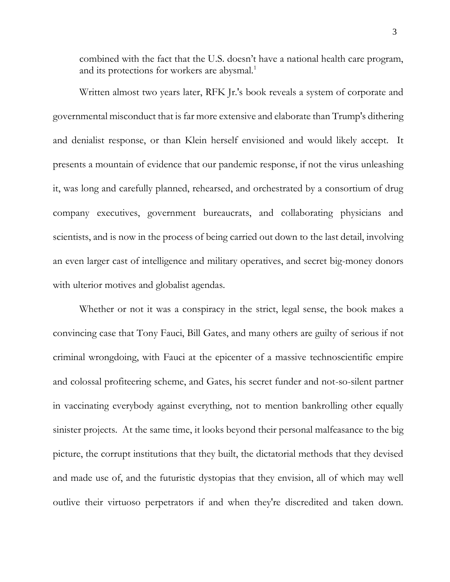combined with the fact that the U.S. doesn't have a national health care program, and its protections for workers are abysmal.<sup>1</sup>

Written almost two years later, RFK Jr.'s book reveals a system of corporate and governmental misconduct that is far more extensive and elaborate than Trump's dithering and denialist response, or than Klein herself envisioned and would likely accept. It presents a mountain of evidence that our pandemic response, if not the virus unleashing it, was long and carefully planned, rehearsed, and orchestrated by a consortium of drug company executives, government bureaucrats, and collaborating physicians and scientists, and is now in the process of being carried out down to the last detail, involving an even larger cast of intelligence and military operatives, and secret big-money donors with ulterior motives and globalist agendas.

Whether or not it was a conspiracy in the strict, legal sense, the book makes a convincing case that Tony Fauci, Bill Gates, and many others are guilty of serious if not criminal wrongdoing, with Fauci at the epicenter of a massive technoscientific empire and colossal profiteering scheme, and Gates, his secret funder and not-so-silent partner in vaccinating everybody against everything, not to mention bankrolling other equally sinister projects. At the same time, it looks beyond their personal malfeasance to the big picture, the corrupt institutions that they built, the dictatorial methods that they devised and made use of, and the futuristic dystopias that they envision, all of which may well outlive their virtuoso perpetrators if and when they're discredited and taken down.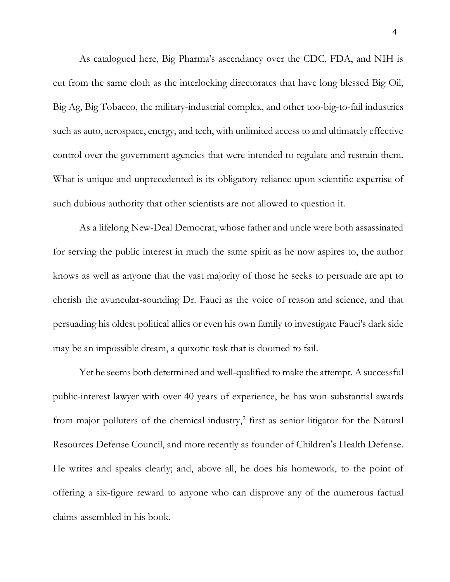As catalogued here, Big Pharma's ascendancy over the CDC, FDA, and NIH is cut from the same cloth as the interlocking directorates that have long blessed Big Oil, Big Ag, Big Tobacco, the military-industrial complex, and other too-big-to-fail industries such as auto, aerospace, energy, and tech, with unlimited access to and ultimately effective control over the government agencies that were intended to regulate and restrain them. What is unique and unprecedented is its obligatory reliance upon scientific expertise of such dubious authority that other scientists are not allowed to question it.

As a lifelong New-Deal Democrat, whose father and uncle were both assassinated for serving the public interest in much the same spirit as he now aspires to, the author knows as well as anyone that the vast majority of those he seeks to persuade are apt to cherish the avuncular-sounding Dr. Fauci as the voice of reason and science, and that persuading his oldest political allies or even his own family to investigate Fauci's dark side may be an impossible dream, a quixotic task that is doomed to fail.

Yet he seems both determined and well-qualified to make the attempt. A successful public-interest lawyer with over 40 years of experience, he has won substantial awards from major polluters of the chemical industry, $2$  first as senior litigator for the Natural Resources Defense Council, and more recently as founder of Children's Health Defense. He writes and speaks clearly; and, above all, he does his homework, to the point of offering a six-figure reward to anyone who can disprove any of the numerous factual claims assembled in his book.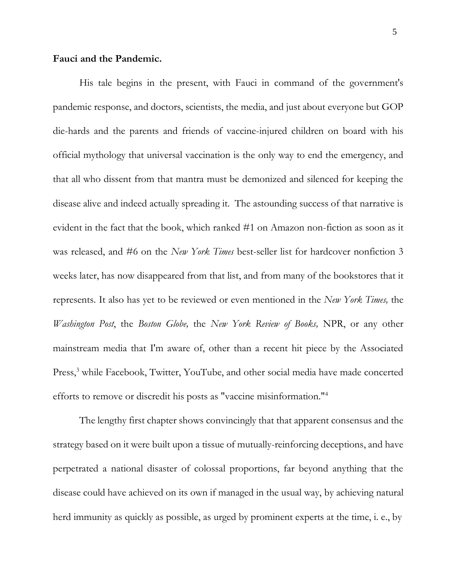### **Fauci and the Pandemic.**

His tale begins in the present, with Fauci in command of the government's pandemic response, and doctors, scientists, the media, and just about everyone but GOP die-hards and the parents and friends of vaccine-injured children on board with his official mythology that universal vaccination is the only way to end the emergency, and that all who dissent from that mantra must be demonized and silenced for keeping the disease alive and indeed actually spreading it. The astounding success of that narrative is evident in the fact that the book, which ranked #1 on Amazon non-fiction as soon as it was released, and #6 on the *New York Times* best-seller list for hardcover nonfiction 3 weeks later, has now disappeared from that list, and from many of the bookstores that it represents. It also has yet to be reviewed or even mentioned in the *New York Times,* the *Washington Post*, the *Boston Globe,* the *New York Review of Books,* NPR, or any other mainstream media that I'm aware of, other than a recent hit piece by the Associated Press,<sup>3</sup> while Facebook, Twitter, YouTube, and other social media have made concerted efforts to remove or discredit his posts as "vaccine misinformation."<sup>4</sup>

The lengthy first chapter shows convincingly that that apparent consensus and the strategy based on it were built upon a tissue of mutually-reinforcing deceptions, and have perpetrated a national disaster of colossal proportions, far beyond anything that the disease could have achieved on its own if managed in the usual way, by achieving natural herd immunity as quickly as possible, as urged by prominent experts at the time, i. e., by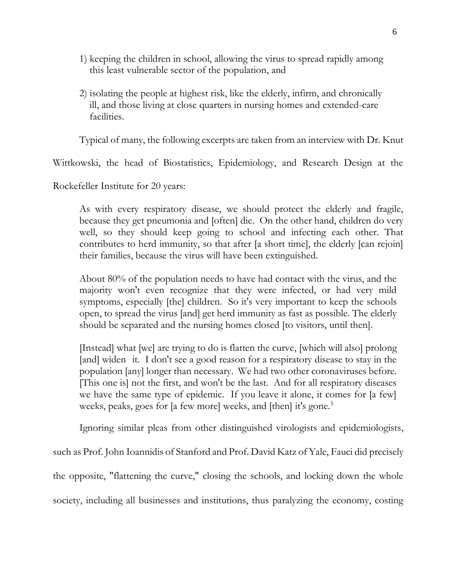- 1) keeping the children in school, allowing the virus to spread rapidly among this least vulnerable sector of the population, and
- 2) isolating the people at highest risk, like the elderly, infirm, and chronically ill, and those living at close quarters in nursing homes and extended-care facilities.

Typical of many, the following excerpts are taken from an interview with Dr. Knut

Wittkowski, the head of Biostatistics, Epidemiology, and Research Design at the

Rockefeller Institute for 20 years:

As with every respiratory disease, we should protect the elderly and fragile, because they get pneumonia and [often] die. On the other hand, children do very well, so they should keep going to school and infecting each other. That contributes to herd immunity, so that after [a short time], the elderly [can rejoin] their families, because the virus will have been extinguished.

About 80% of the population needs to have had contact with the virus, and the majority won't even recognize that they were infected, or had very mild symptoms, especially [the] children. So it's very important to keep the schools open, to spread the virus [and] get herd immunity as fast as possible. The elderly should be separated and the nursing homes closed [to visitors, until then].

[Instead] what [we] are trying to do is flatten the curve, [which will also] prolong [and] widen it. I don't see a good reason for a respiratory disease to stay in the population [any] longer than necessary. We had two other coronaviruses before. [This one is] not the first, and won't be the last. And for all respiratory diseases we have the same type of epidemic. If you leave it alone, it comes for [a few] weeks, peaks, goes for [a few more] weeks, and [then] it's gone.<sup>5</sup>

Ignoring similar pleas from other distinguished virologists and epidemiologists,

such as Prof. John Ioannidis of Stanford and Prof. David Katz of Yale, Fauci did precisely

the opposite, "flattening the curve," closing the schools, and locking down the whole

society, including all businesses and institutions, thus paralyzing the economy, costing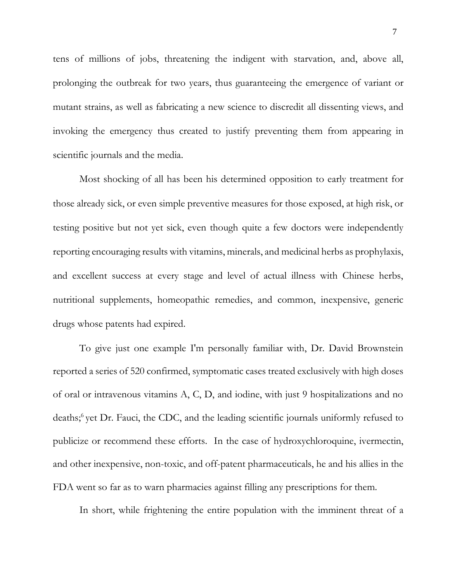tens of millions of jobs, threatening the indigent with starvation, and, above all, prolonging the outbreak for two years, thus guaranteeing the emergence of variant or mutant strains, as well as fabricating a new science to discredit all dissenting views, and invoking the emergency thus created to justify preventing them from appearing in scientific journals and the media.

Most shocking of all has been his determined opposition to early treatment for those already sick, or even simple preventive measures for those exposed, at high risk, or testing positive but not yet sick, even though quite a few doctors were independently reporting encouraging results with vitamins, minerals, and medicinal herbs as prophylaxis, and excellent success at every stage and level of actual illness with Chinese herbs, nutritional supplements, homeopathic remedies, and common, inexpensive, generic drugs whose patents had expired.

To give just one example I'm personally familiar with, Dr. David Brownstein reported a series of 520 confirmed, symptomatic cases treated exclusively with high doses of oral or intravenous vitamins A, C, D, and iodine, with just 9 hospitalizations and no deaths; <sup>6</sup>yet Dr. Fauci, the CDC, and the leading scientific journals uniformly refused to publicize or recommend these efforts. In the case of hydroxychloroquine, ivermectin, and other inexpensive, non-toxic, and off-patent pharmaceuticals, he and his allies in the FDA went so far as to warn pharmacies against filling any prescriptions for them.

In short, while frightening the entire population with the imminent threat of a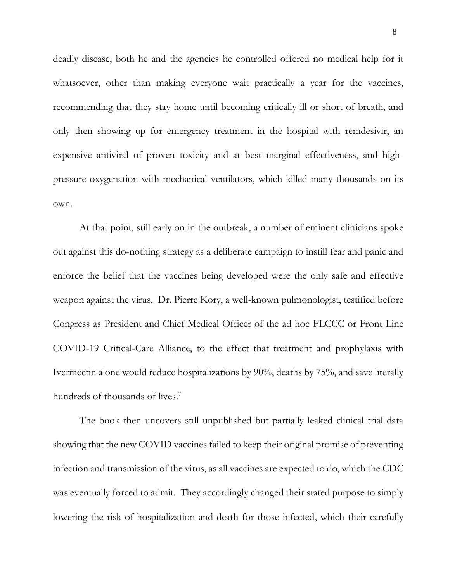deadly disease, both he and the agencies he controlled offered no medical help for it whatsoever, other than making everyone wait practically a year for the vaccines, recommending that they stay home until becoming critically ill or short of breath, and only then showing up for emergency treatment in the hospital with remdesivir, an expensive antiviral of proven toxicity and at best marginal effectiveness, and highpressure oxygenation with mechanical ventilators, which killed many thousands on its own.

At that point, still early on in the outbreak, a number of eminent clinicians spoke out against this do-nothing strategy as a deliberate campaign to instill fear and panic and enforce the belief that the vaccines being developed were the only safe and effective weapon against the virus. Dr. Pierre Kory, a well-known pulmonologist, testified before Congress as President and Chief Medical Officer of the ad hoc FLCCC or Front Line COVID-19 Critical-Care Alliance, to the effect that treatment and prophylaxis with Ivermectin alone would reduce hospitalizations by 90%, deaths by 75%, and save literally hundreds of thousands of lives.<sup>7</sup>

The book then uncovers still unpublished but partially leaked clinical trial data showing that the new COVID vaccines failed to keep their original promise of preventing infection and transmission of the virus, as all vaccines are expected to do, which the CDC was eventually forced to admit. They accordingly changed their stated purpose to simply lowering the risk of hospitalization and death for those infected, which their carefully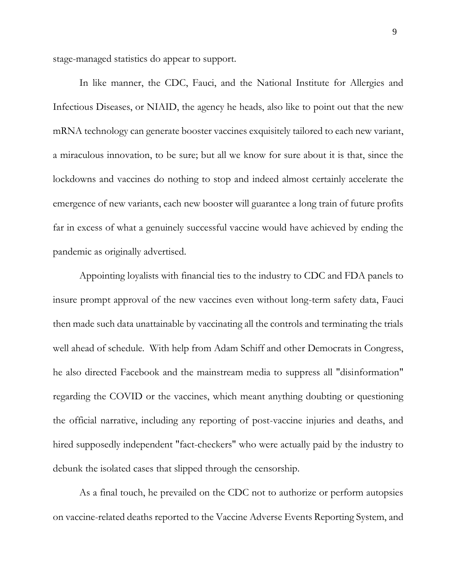stage-managed statistics do appear to support.

In like manner, the CDC, Fauci, and the National Institute for Allergies and Infectious Diseases, or NIAID, the agency he heads, also like to point out that the new mRNA technology can generate booster vaccines exquisitely tailored to each new variant, a miraculous innovation, to be sure; but all we know for sure about it is that, since the lockdowns and vaccines do nothing to stop and indeed almost certainly accelerate the emergence of new variants, each new booster will guarantee a long train of future profits far in excess of what a genuinely successful vaccine would have achieved by ending the pandemic as originally advertised.

Appointing loyalists with financial ties to the industry to CDC and FDA panels to insure prompt approval of the new vaccines even without long-term safety data, Fauci then made such data unattainable by vaccinating all the controls and terminating the trials well ahead of schedule. With help from Adam Schiff and other Democrats in Congress, he also directed Facebook and the mainstream media to suppress all "disinformation" regarding the COVID or the vaccines, which meant anything doubting or questioning the official narrative, including any reporting of post-vaccine injuries and deaths, and hired supposedly independent "fact-checkers" who were actually paid by the industry to debunk the isolated cases that slipped through the censorship.

As a final touch, he prevailed on the CDC not to authorize or perform autopsies on vaccine-related deaths reported to the Vaccine Adverse Events Reporting System, and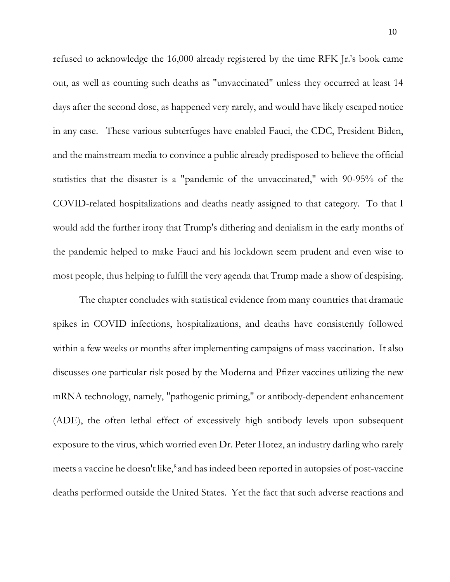refused to acknowledge the 16,000 already registered by the time RFK Jr.'s book came out, as well as counting such deaths as "unvaccinated" unless they occurred at least 14 days after the second dose, as happened very rarely, and would have likely escaped notice in any case. These various subterfuges have enabled Fauci, the CDC, President Biden, and the mainstream media to convince a public already predisposed to believe the official statistics that the disaster is a "pandemic of the unvaccinated," with 90-95% of the COVID-related hospitalizations and deaths neatly assigned to that category. To that I would add the further irony that Trump's dithering and denialism in the early months of the pandemic helped to make Fauci and his lockdown seem prudent and even wise to most people, thus helping to fulfill the very agenda that Trump made a show of despising.

The chapter concludes with statistical evidence from many countries that dramatic spikes in COVID infections, hospitalizations, and deaths have consistently followed within a few weeks or months after implementing campaigns of mass vaccination. It also discusses one particular risk posed by the Moderna and Pfizer vaccines utilizing the new mRNA technology, namely, "pathogenic priming," or antibody-dependent enhancement (ADE), the often lethal effect of excessively high antibody levels upon subsequent exposure to the virus, which worried even Dr. Peter Hotez, an industry darling who rarely meets a vaccine he doesn't like,<sup>8</sup> and has indeed been reported in autopsies of post-vaccine deaths performed outside the United States. Yet the fact that such adverse reactions and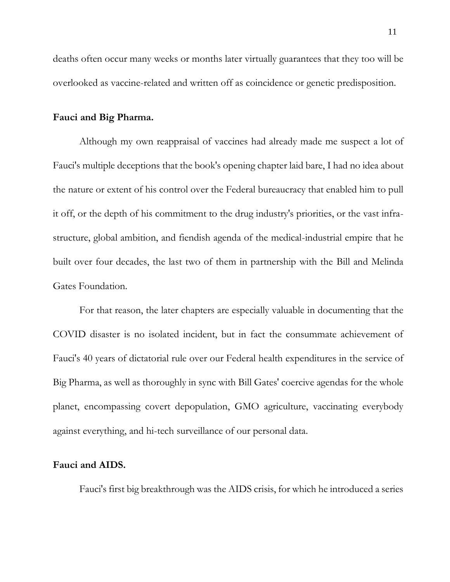deaths often occur many weeks or months later virtually guarantees that they too will be overlooked as vaccine-related and written off as coincidence or genetic predisposition.

## **Fauci and Big Pharma.**

Although my own reappraisal of vaccines had already made me suspect a lot of Fauci's multiple deceptions that the book's opening chapter laid bare, I had no idea about the nature or extent of his control over the Federal bureaucracy that enabled him to pull it off, or the depth of his commitment to the drug industry's priorities, or the vast infrastructure, global ambition, and fiendish agenda of the medical-industrial empire that he built over four decades, the last two of them in partnership with the Bill and Melinda Gates Foundation.

For that reason, the later chapters are especially valuable in documenting that the COVID disaster is no isolated incident, but in fact the consummate achievement of Fauci's 40 years of dictatorial rule over our Federal health expenditures in the service of Big Pharma, as well as thoroughly in sync with Bill Gates' coercive agendas for the whole planet, encompassing covert depopulation, GMO agriculture, vaccinating everybody against everything, and hi-tech surveillance of our personal data.

# **Fauci and AIDS.**

Fauci's first big breakthrough was the AIDS crisis, for which he introduced a series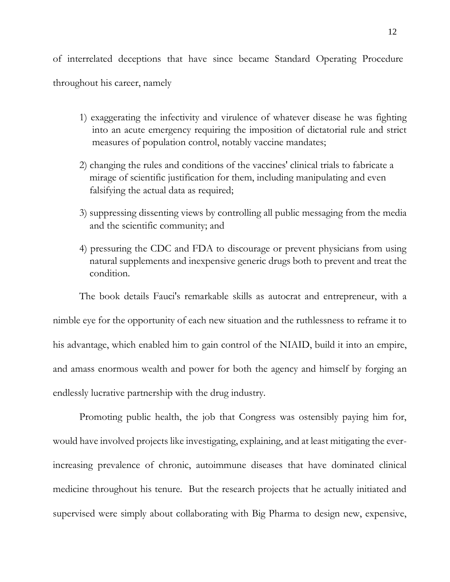of interrelated deceptions that have since became Standard Operating Procedure throughout his career, namely

- 1) exaggerating the infectivity and virulence of whatever disease he was fighting into an acute emergency requiring the imposition of dictatorial rule and strict measures of population control, notably vaccine mandates;
- 2) changing the rules and conditions of the vaccines' clinical trials to fabricate a mirage of scientific justification for them, including manipulating and even falsifying the actual data as required;
- 3) suppressing dissenting views by controlling all public messaging from the media and the scientific community; and
- 4) pressuring the CDC and FDA to discourage or prevent physicians from using natural supplements and inexpensive generic drugs both to prevent and treat the condition.

The book details Fauci's remarkable skills as autocrat and entrepreneur, with a nimble eye for the opportunity of each new situation and the ruthlessness to reframe it to his advantage, which enabled him to gain control of the NIAID, build it into an empire, and amass enormous wealth and power for both the agency and himself by forging an endlessly lucrative partnership with the drug industry.

Promoting public health, the job that Congress was ostensibly paying him for, would have involved projects like investigating, explaining, and at least mitigating the everincreasing prevalence of chronic, autoimmune diseases that have dominated clinical medicine throughout his tenure. But the research projects that he actually initiated and supervised were simply about collaborating with Big Pharma to design new, expensive,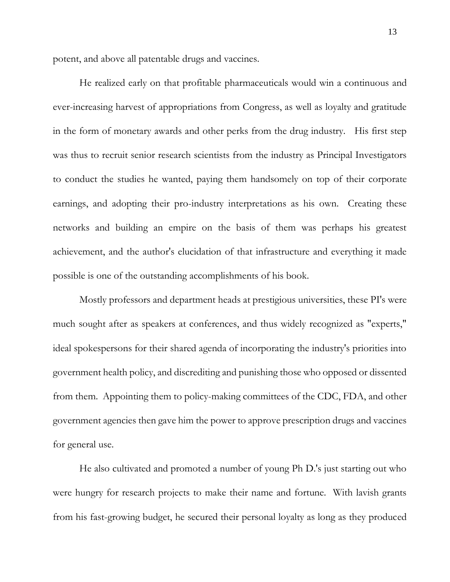potent, and above all patentable drugs and vaccines.

He realized early on that profitable pharmaceuticals would win a continuous and ever-increasing harvest of appropriations from Congress, as well as loyalty and gratitude in the form of monetary awards and other perks from the drug industry. His first step was thus to recruit senior research scientists from the industry as Principal Investigators to conduct the studies he wanted, paying them handsomely on top of their corporate earnings, and adopting their pro-industry interpretations as his own. Creating these networks and building an empire on the basis of them was perhaps his greatest achievement, and the author's elucidation of that infrastructure and everything it made possible is one of the outstanding accomplishments of his book.

Mostly professors and department heads at prestigious universities, these PI's were much sought after as speakers at conferences, and thus widely recognized as "experts," ideal spokespersons for their shared agenda of incorporating the industry's priorities into government health policy, and discrediting and punishing those who opposed or dissented from them. Appointing them to policy-making committees of the CDC, FDA, and other government agencies then gave him the power to approve prescription drugs and vaccines for general use.

He also cultivated and promoted a number of young Ph D.'s just starting out who were hungry for research projects to make their name and fortune. With lavish grants from his fast-growing budget, he secured their personal loyalty as long as they produced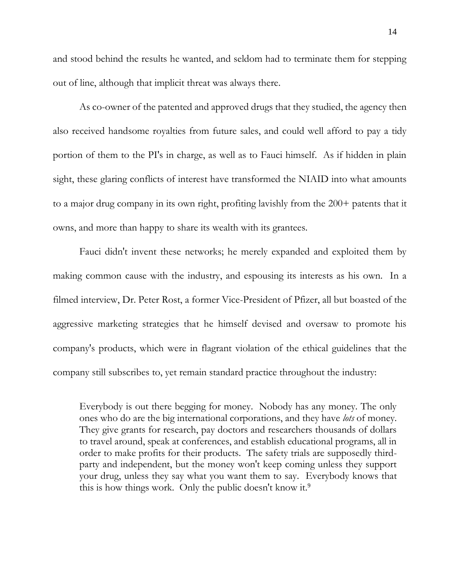and stood behind the results he wanted, and seldom had to terminate them for stepping out of line, although that implicit threat was always there.

As co-owner of the patented and approved drugs that they studied, the agency then also received handsome royalties from future sales, and could well afford to pay a tidy portion of them to the PI's in charge, as well as to Fauci himself. As if hidden in plain sight, these glaring conflicts of interest have transformed the NIAID into what amounts to a major drug company in its own right, profiting lavishly from the 200+ patents that it owns, and more than happy to share its wealth with its grantees.

Fauci didn't invent these networks; he merely expanded and exploited them by making common cause with the industry, and espousing its interests as his own. In a filmed interview, Dr. Peter Rost, a former Vice-President of Pfizer, all but boasted of the aggressive marketing strategies that he himself devised and oversaw to promote his company's products, which were in flagrant violation of the ethical guidelines that the company still subscribes to, yet remain standard practice throughout the industry:

Everybody is out there begging for money. Nobody has any money. The only ones who do are the big international corporations, and they have *lots* of money. They give grants for research, pay doctors and researchers thousands of dollars to travel around, speak at conferences, and establish educational programs, all in order to make profits for their products. The safety trials are supposedly thirdparty and independent, but the money won't keep coming unless they support your drug, unless they say what you want them to say. Everybody knows that this is how things work. Only the public doesn't know it.9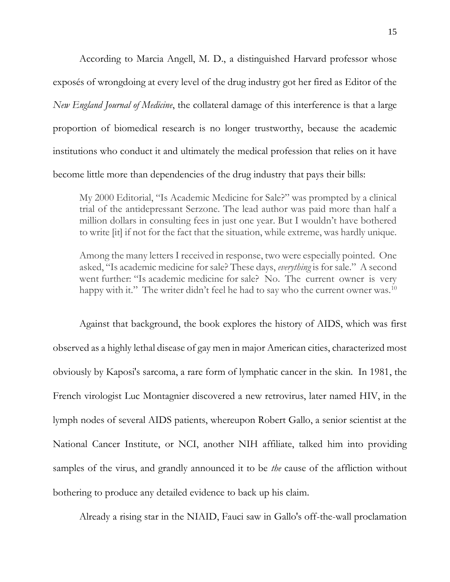According to Marcia Angell, M. D., a distinguished Harvard professor whose exposés of wrongdoing at every level of the drug industry got her fired as Editor of the *New England Journal of Medicine*, the collateral damage of this interference is that a large proportion of biomedical research is no longer trustworthy, because the academic institutions who conduct it and ultimately the medical profession that relies on it have become little more than dependencies of the drug industry that pays their bills:

My 2000 Editorial, "Is Academic Medicine for Sale?" was prompted by a clinical trial of the antidepressant Serzone. The lead author was paid more than half a million dollars in consulting fees in just one year. But I wouldn't have bothered to write [it] if not for the fact that the situation, while extreme, was hardly unique.

Among the many letters I received in response, two were especially pointed. One asked, "Is academic medicine for sale? These days, *everything* is for sale." A second went further: "Is academic medicine for sale? No. The current owner is very happy with it." The writer didn't feel he had to say who the current owner was.<sup>10</sup>

Against that background, the book explores the history of AIDS, which was first observed as a highly lethal disease of gay men in major American cities, characterized most obviously by Kaposi's sarcoma, a rare form of lymphatic cancer in the skin. In 1981, the French virologist Luc Montagnier discovered a new retrovirus, later named HIV, in the lymph nodes of several AIDS patients, whereupon Robert Gallo, a senior scientist at the National Cancer Institute, or NCI, another NIH affiliate, talked him into providing samples of the virus, and grandly announced it to be *the* cause of the affliction without bothering to produce any detailed evidence to back up his claim.

Already a rising star in the NIAID, Fauci saw in Gallo's off-the-wall proclamation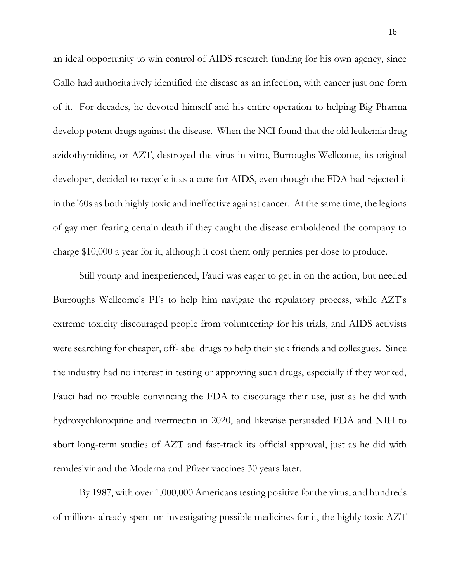an ideal opportunity to win control of AIDS research funding for his own agency, since Gallo had authoritatively identified the disease as an infection, with cancer just one form of it. For decades, he devoted himself and his entire operation to helping Big Pharma develop potent drugs against the disease. When the NCI found that the old leukemia drug azidothymidine, or AZT, destroyed the virus in vitro, Burroughs Wellcome, its original developer, decided to recycle it as a cure for AIDS, even though the FDA had rejected it in the '60s as both highly toxic and ineffective against cancer. At the same time, the legions of gay men fearing certain death if they caught the disease emboldened the company to charge \$10,000 a year for it, although it cost them only pennies per dose to produce.

Still young and inexperienced, Fauci was eager to get in on the action, but needed Burroughs Wellcome's PI's to help him navigate the regulatory process, while AZT's extreme toxicity discouraged people from volunteering for his trials, and AIDS activists were searching for cheaper, off-label drugs to help their sick friends and colleagues. Since the industry had no interest in testing or approving such drugs, especially if they worked, Fauci had no trouble convincing the FDA to discourage their use, just as he did with hydroxychloroquine and ivermectin in 2020, and likewise persuaded FDA and NIH to abort long-term studies of AZT and fast-track its official approval, just as he did with remdesivir and the Moderna and Pfizer vaccines 30 years later.

By 1987, with over 1,000,000 Americans testing positive for the virus, and hundreds of millions already spent on investigating possible medicines for it, the highly toxic AZT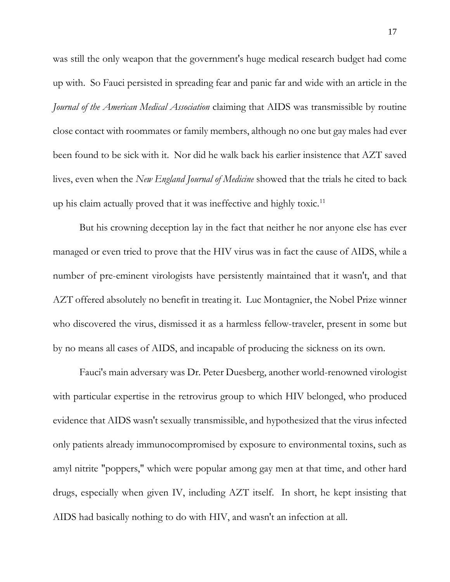was still the only weapon that the government's huge medical research budget had come up with. So Fauci persisted in spreading fear and panic far and wide with an article in the *Journal of the American Medical Association* claiming that AIDS was transmissible by routine close contact with roommates or family members, although no one but gay males had ever been found to be sick with it. Nor did he walk back his earlier insistence that AZT saved lives, even when the *New England Journal of Medicine* showed that the trials he cited to back up his claim actually proved that it was ineffective and highly toxic.<sup>11</sup>

But his crowning deception lay in the fact that neither he nor anyone else has ever managed or even tried to prove that the HIV virus was in fact the cause of AIDS, while a number of pre-eminent virologists have persistently maintained that it wasn't, and that AZT offered absolutely no benefit in treating it. Luc Montagnier, the Nobel Prize winner who discovered the virus, dismissed it as a harmless fellow-traveler, present in some but by no means all cases of AIDS, and incapable of producing the sickness on its own.

Fauci's main adversary was Dr. Peter Duesberg, another world-renowned virologist with particular expertise in the retrovirus group to which HIV belonged, who produced evidence that AIDS wasn't sexually transmissible, and hypothesized that the virus infected only patients already immunocompromised by exposure to environmental toxins, such as amyl nitrite "poppers," which were popular among gay men at that time, and other hard drugs, especially when given IV, including AZT itself. In short, he kept insisting that AIDS had basically nothing to do with HIV, and wasn't an infection at all.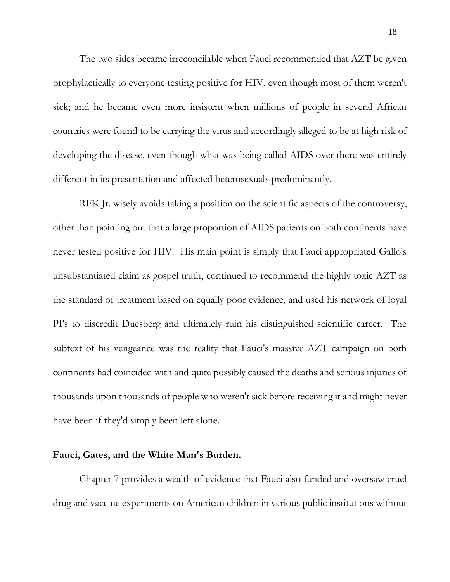The two sides became irreconcilable when Fauci recommended that AZT be given prophylactically to everyone testing positive for HIV, even though most of them weren't sick; and he became even more insistent when millions of people in several African countries were found to be carrying the virus and accordingly alleged to be at high risk of developing the disease, even though what was being called AIDS over there was entirely different in its presentation and affected heterosexuals predominantly.

RFK Jr. wisely avoids taking a position on the scientific aspects of the controversy, other than pointing out that a large proportion of AIDS patients on both continents have never tested positive for HIV. His main point is simply that Fauci appropriated Gallo's unsubstantiated claim as gospel truth, continued to recommend the highly toxic AZT as the standard of treatment based on equally poor evidence, and used his network of loyal PI's to discredit Duesberg and ultimately ruin his distinguished scientific career. The subtext of his vengeance was the reality that Fauci's massive AZT campaign on both continents had coincided with and quite possibly caused the deaths and serious injuries of thousands upon thousands of people who weren't sick before receiving it and might never have been if they'd simply been left alone.

### **Fauci, Gates, and the White Man's Burden.**

Chapter 7 provides a wealth of evidence that Fauci also funded and oversaw cruel drug and vaccine experiments on American children in various public institutions without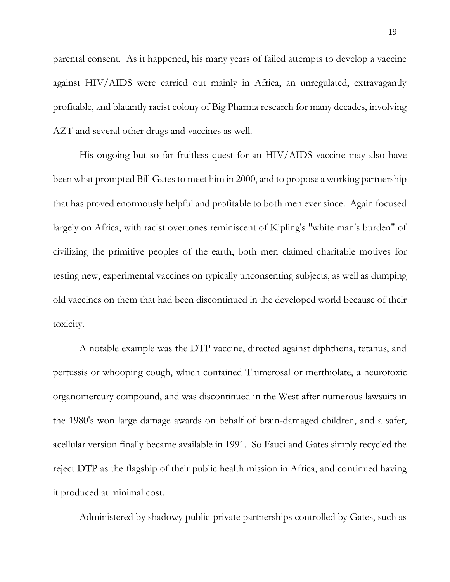parental consent. As it happened, his many years of failed attempts to develop a vaccine against HIV/AIDS were carried out mainly in Africa, an unregulated, extravagantly profitable, and blatantly racist colony of Big Pharma research for many decades, involving AZT and several other drugs and vaccines as well.

His ongoing but so far fruitless quest for an HIV/AIDS vaccine may also have been what prompted Bill Gates to meet him in 2000, and to propose a working partnership that has proved enormously helpful and profitable to both men ever since. Again focused largely on Africa, with racist overtones reminiscent of Kipling's "white man's burden" of civilizing the primitive peoples of the earth, both men claimed charitable motives for testing new, experimental vaccines on typically unconsenting subjects, as well as dumping old vaccines on them that had been discontinued in the developed world because of their toxicity.

A notable example was the DTP vaccine, directed against diphtheria, tetanus, and pertussis or whooping cough, which contained Thimerosal or merthiolate, a neurotoxic organomercury compound, and was discontinued in the West after numerous lawsuits in the 1980's won large damage awards on behalf of brain-damaged children, and a safer, acellular version finally became available in 1991. So Fauci and Gates simply recycled the reject DTP as the flagship of their public health mission in Africa, and continued having it produced at minimal cost.

Administered by shadowy public-private partnerships controlled by Gates, such as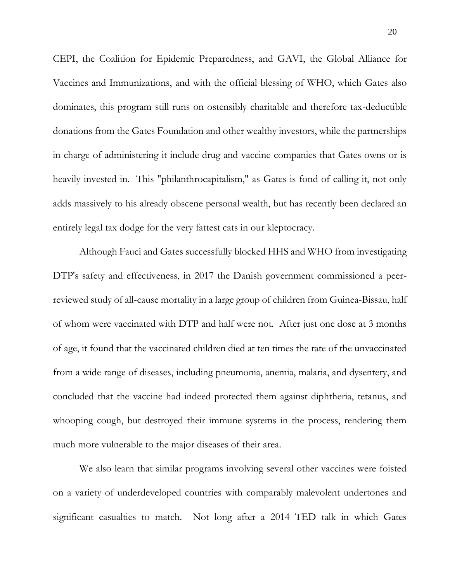CEPI, the Coalition for Epidemic Preparedness, and GAVI, the Global Alliance for Vaccines and Immunizations, and with the official blessing of WHO, which Gates also dominates, this program still runs on ostensibly charitable and therefore tax-deductible donations from the Gates Foundation and other wealthy investors, while the partnerships in charge of administering it include drug and vaccine companies that Gates owns or is heavily invested in. This "philanthrocapitalism," as Gates is fond of calling it, not only adds massively to his already obscene personal wealth, but has recently been declared an entirely legal tax dodge for the very fattest cats in our kleptocracy.

Although Fauci and Gates successfully blocked HHS and WHO from investigating DTP's safety and effectiveness, in 2017 the Danish government commissioned a peerreviewed study of all-cause mortality in a large group of children from Guinea-Bissau, half of whom were vaccinated with DTP and half were not. After just one dose at 3 months of age, it found that the vaccinated children died at ten times the rate of the unvaccinated from a wide range of diseases, including pneumonia, anemia, malaria, and dysentery, and concluded that the vaccine had indeed protected them against diphtheria, tetanus, and whooping cough, but destroyed their immune systems in the process, rendering them much more vulnerable to the major diseases of their area.

We also learn that similar programs involving several other vaccines were foisted on a variety of underdeveloped countries with comparably malevolent undertones and significant casualties to match. Not long after a 2014 TED talk in which Gates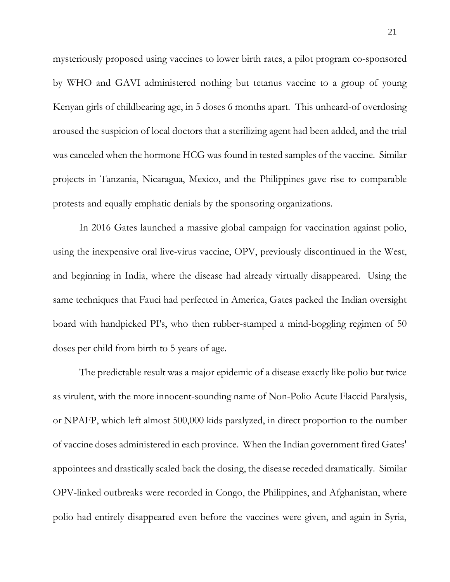mysteriously proposed using vaccines to lower birth rates, a pilot program co-sponsored by WHO and GAVI administered nothing but tetanus vaccine to a group of young Kenyan girls of childbearing age, in 5 doses 6 months apart. This unheard-of overdosing aroused the suspicion of local doctors that a sterilizing agent had been added, and the trial was canceled when the hormone HCG was found in tested samples of the vaccine. Similar projects in Tanzania, Nicaragua, Mexico, and the Philippines gave rise to comparable protests and equally emphatic denials by the sponsoring organizations.

In 2016 Gates launched a massive global campaign for vaccination against polio, using the inexpensive oral live-virus vaccine, OPV, previously discontinued in the West, and beginning in India, where the disease had already virtually disappeared. Using the same techniques that Fauci had perfected in America, Gates packed the Indian oversight board with handpicked PI's, who then rubber-stamped a mind-boggling regimen of 50 doses per child from birth to 5 years of age.

The predictable result was a major epidemic of a disease exactly like polio but twice as virulent, with the more innocent-sounding name of Non-Polio Acute Flaccid Paralysis, or NPAFP, which left almost 500,000 kids paralyzed, in direct proportion to the number of vaccine doses administered in each province. When the Indian government fired Gates' appointees and drastically scaled back the dosing, the disease receded dramatically. Similar OPV-linked outbreaks were recorded in Congo, the Philippines, and Afghanistan, where polio had entirely disappeared even before the vaccines were given, and again in Syria,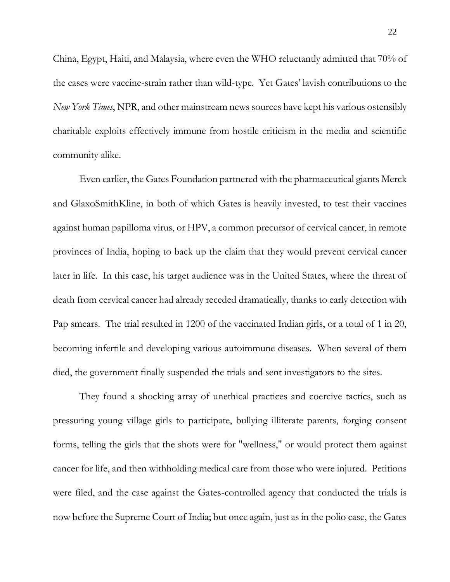China, Egypt, Haiti, and Malaysia, where even the WHO reluctantly admitted that 70% of the cases were vaccine-strain rather than wild-type. Yet Gates' lavish contributions to the *New York Times*, NPR, and other mainstream news sources have kept his various ostensibly charitable exploits effectively immune from hostile criticism in the media and scientific community alike.

Even earlier, the Gates Foundation partnered with the pharmaceutical giants Merck and GlaxoSmithKline, in both of which Gates is heavily invested, to test their vaccines against human papilloma virus, or HPV, a common precursor of cervical cancer, in remote provinces of India, hoping to back up the claim that they would prevent cervical cancer later in life. In this case, his target audience was in the United States, where the threat of death from cervical cancer had already receded dramatically, thanks to early detection with Pap smears. The trial resulted in 1200 of the vaccinated Indian girls, or a total of 1 in 20, becoming infertile and developing various autoimmune diseases. When several of them died, the government finally suspended the trials and sent investigators to the sites.

They found a shocking array of unethical practices and coercive tactics, such as pressuring young village girls to participate, bullying illiterate parents, forging consent forms, telling the girls that the shots were for "wellness," or would protect them against cancer for life, and then withholding medical care from those who were injured. Petitions were filed, and the case against the Gates-controlled agency that conducted the trials is now before the Supreme Court of India; but once again, just as in the polio case, the Gates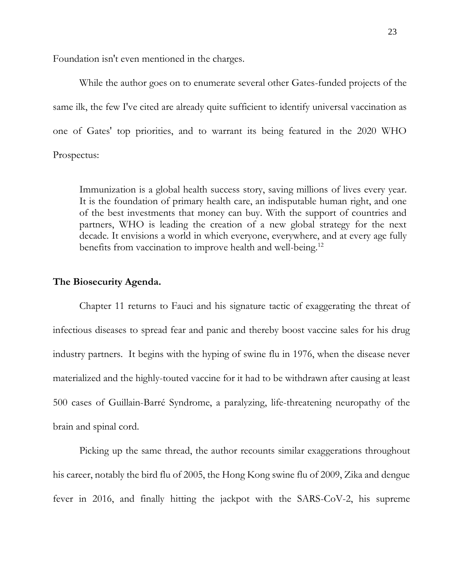Foundation isn't even mentioned in the charges.

While the author goes on to enumerate several other Gates-funded projects of the same ilk, the few I've cited are already quite sufficient to identify universal vaccination as one of Gates' top priorities, and to warrant its being featured in the 2020 WHO Prospectus:

Immunization is a global health success story, saving millions of lives every year. It is the foundation of primary health care, an indisputable human right, and one of the best investments that money can buy. With the support of countries and partners, WHO is leading the creation of a new global strategy for the next decade. It envisions a world in which everyone, everywhere, and at every age fully benefits from vaccination to improve health and well-being.<sup>12</sup>

### **The Biosecurity Agenda.**

Chapter 11 returns to Fauci and his signature tactic of exaggerating the threat of infectious diseases to spread fear and panic and thereby boost vaccine sales for his drug industry partners. It begins with the hyping of swine flu in 1976, when the disease never materialized and the highly-touted vaccine for it had to be withdrawn after causing at least 500 cases of Guillain-Barré Syndrome, a paralyzing, life-threatening neuropathy of the brain and spinal cord.

Picking up the same thread, the author recounts similar exaggerations throughout his career, notably the bird flu of 2005, the Hong Kong swine flu of 2009, Zika and dengue fever in 2016, and finally hitting the jackpot with the SARS-CoV-2, his supreme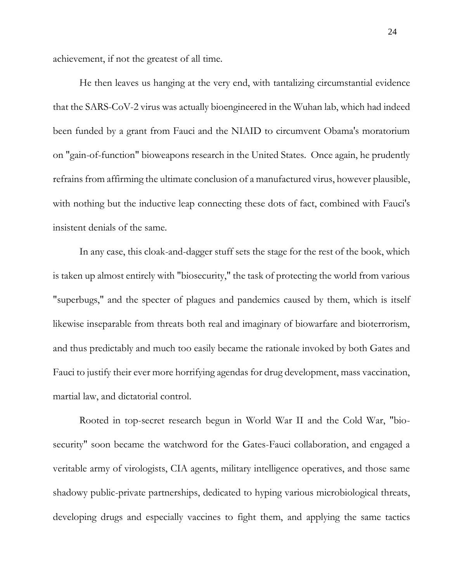achievement, if not the greatest of all time.

He then leaves us hanging at the very end, with tantalizing circumstantial evidence that the SARS-CoV-2 virus was actually bioengineered in the Wuhan lab, which had indeed been funded by a grant from Fauci and the NIAID to circumvent Obama's moratorium on "gain-of-function" bioweapons research in the United States. Once again, he prudently refrains from affirming the ultimate conclusion of a manufactured virus, however plausible, with nothing but the inductive leap connecting these dots of fact, combined with Fauci's insistent denials of the same.

In any case, this cloak-and-dagger stuff sets the stage for the rest of the book, which is taken up almost entirely with "biosecurity," the task of protecting the world from various "superbugs," and the specter of plagues and pandemics caused by them, which is itself likewise inseparable from threats both real and imaginary of biowarfare and bioterrorism, and thus predictably and much too easily became the rationale invoked by both Gates and Fauci to justify their ever more horrifying agendas for drug development, mass vaccination, martial law, and dictatorial control.

Rooted in top-secret research begun in World War II and the Cold War, "biosecurity" soon became the watchword for the Gates-Fauci collaboration, and engaged a veritable army of virologists, CIA agents, military intelligence operatives, and those same shadowy public-private partnerships, dedicated to hyping various microbiological threats, developing drugs and especially vaccines to fight them, and applying the same tactics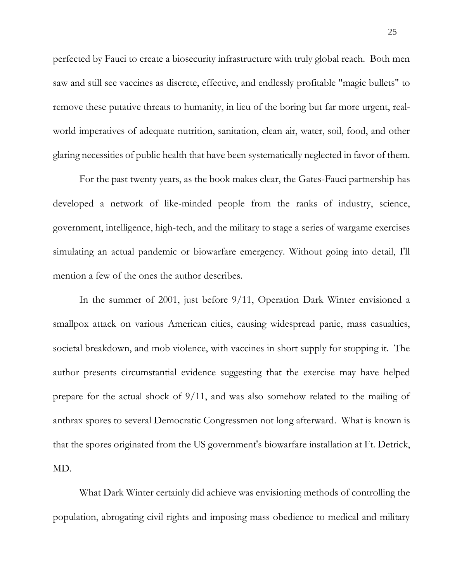perfected by Fauci to create a biosecurity infrastructure with truly global reach. Both men saw and still see vaccines as discrete, effective, and endlessly profitable "magic bullets" to remove these putative threats to humanity, in lieu of the boring but far more urgent, realworld imperatives of adequate nutrition, sanitation, clean air, water, soil, food, and other glaring necessities of public health that have been systematically neglected in favor of them.

For the past twenty years, as the book makes clear, the Gates-Fauci partnership has developed a network of like-minded people from the ranks of industry, science, government, intelligence, high-tech, and the military to stage a series of wargame exercises simulating an actual pandemic or biowarfare emergency. Without going into detail, I'll mention a few of the ones the author describes.

In the summer of 2001, just before 9/11, Operation Dark Winter envisioned a smallpox attack on various American cities, causing widespread panic, mass casualties, societal breakdown, and mob violence, with vaccines in short supply for stopping it. The author presents circumstantial evidence suggesting that the exercise may have helped prepare for the actual shock of 9/11, and was also somehow related to the mailing of anthrax spores to several Democratic Congressmen not long afterward. What is known is that the spores originated from the US government's biowarfare installation at Ft. Detrick, MD.

What Dark Winter certainly did achieve was envisioning methods of controlling the population, abrogating civil rights and imposing mass obedience to medical and military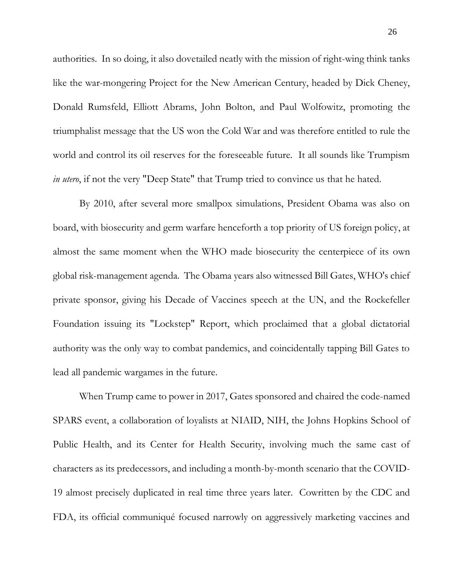authorities. In so doing, it also dovetailed neatly with the mission of right-wing think tanks like the war-mongering Project for the New American Century, headed by Dick Cheney, Donald Rumsfeld, Elliott Abrams, John Bolton, and Paul Wolfowitz, promoting the triumphalist message that the US won the Cold War and was therefore entitled to rule the world and control its oil reserves for the foreseeable future. It all sounds like Trumpism *in utero*, if not the very "Deep State" that Trump tried to convince us that he hated.

By 2010, after several more smallpox simulations, President Obama was also on board, with biosecurity and germ warfare henceforth a top priority of US foreign policy, at almost the same moment when the WHO made biosecurity the centerpiece of its own global risk-management agenda. The Obama years also witnessed Bill Gates, WHO's chief private sponsor, giving his Decade of Vaccines speech at the UN, and the Rockefeller Foundation issuing its "Lockstep" Report, which proclaimed that a global dictatorial authority was the only way to combat pandemics, and coincidentally tapping Bill Gates to lead all pandemic wargames in the future.

When Trump came to power in 2017, Gates sponsored and chaired the code-named SPARS event, a collaboration of loyalists at NIAID, NIH, the Johns Hopkins School of Public Health, and its Center for Health Security, involving much the same cast of characters as its predecessors, and including a month-by-month scenario that the COVID-19 almost precisely duplicated in real time three years later. Cowritten by the CDC and FDA, its official communiqué focused narrowly on aggressively marketing vaccines and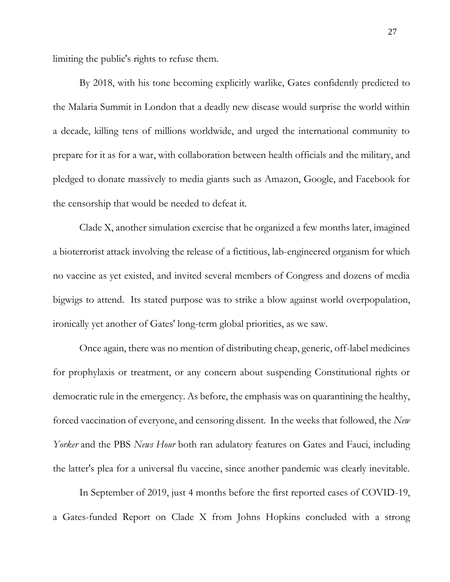limiting the public's rights to refuse them.

By 2018, with his tone becoming explicitly warlike, Gates confidently predicted to the Malaria Summit in London that a deadly new disease would surprise the world within a decade, killing tens of millions worldwide, and urged the international community to prepare for it as for a war, with collaboration between health officials and the military, and pledged to donate massively to media giants such as Amazon, Google, and Facebook for the censorship that would be needed to defeat it.

Clade X, another simulation exercise that he organized a few months later, imagined a bioterrorist attack involving the release of a fictitious, lab-engineered organism for which no vaccine as yet existed, and invited several members of Congress and dozens of media bigwigs to attend. Its stated purpose was to strike a blow against world overpopulation, ironically yet another of Gates' long-term global priorities, as we saw.

Once again, there was no mention of distributing cheap, generic, off-label medicines for prophylaxis or treatment, or any concern about suspending Constitutional rights or democratic rule in the emergency. As before, the emphasis was on quarantining the healthy, forced vaccination of everyone, and censoring dissent. In the weeks that followed, the *New Yorker* and the PBS *News Hour* both ran adulatory features on Gates and Fauci, including the latter's plea for a universal flu vaccine, since another pandemic was clearly inevitable.

In September of 2019, just 4 months before the first reported cases of COVID-19, a Gates-funded Report on Clade X from Johns Hopkins concluded with a strong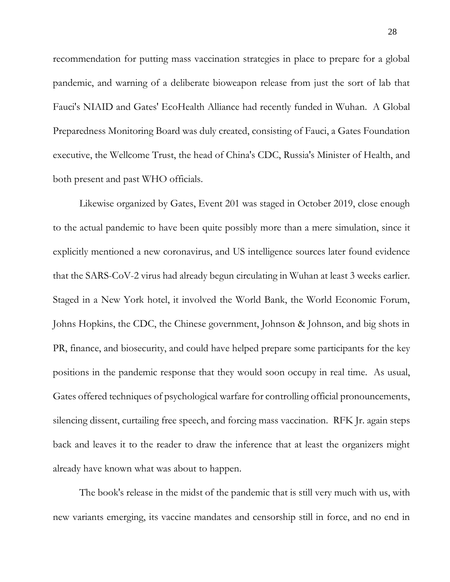recommendation for putting mass vaccination strategies in place to prepare for a global pandemic, and warning of a deliberate bioweapon release from just the sort of lab that Fauci's NIAID and Gates' EcoHealth Alliance had recently funded in Wuhan. A Global Preparedness Monitoring Board was duly created, consisting of Fauci, a Gates Foundation executive, the Wellcome Trust, the head of China's CDC, Russia's Minister of Health, and both present and past WHO officials.

Likewise organized by Gates, Event 201 was staged in October 2019, close enough to the actual pandemic to have been quite possibly more than a mere simulation, since it explicitly mentioned a new coronavirus, and US intelligence sources later found evidence that the SARS-CoV-2 virus had already begun circulating in Wuhan at least 3 weeks earlier. Staged in a New York hotel, it involved the World Bank, the World Economic Forum, Johns Hopkins, the CDC, the Chinese government, Johnson & Johnson, and big shots in PR, finance, and biosecurity, and could have helped prepare some participants for the key positions in the pandemic response that they would soon occupy in real time. As usual, Gates offered techniques of psychological warfare for controlling official pronouncements, silencing dissent, curtailing free speech, and forcing mass vaccination. RFK Jr. again steps back and leaves it to the reader to draw the inference that at least the organizers might already have known what was about to happen.

The book's release in the midst of the pandemic that is still very much with us, with new variants emerging, its vaccine mandates and censorship still in force, and no end in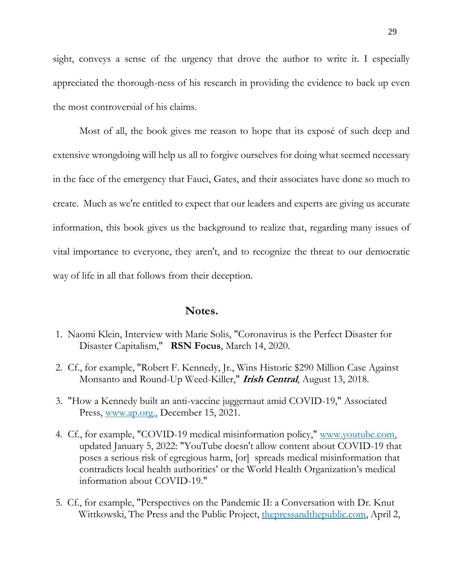sight, conveys a sense of the urgency that drove the author to write it. I especially appreciated the thorough-ness of his research in providing the evidence to back up even the most controversial of his claims.

Most of all, the book gives me reason to hope that its exposé of such deep and extensive wrongdoing will help us all to forgive ourselves for doing what seemed necessary in the face of the emergency that Fauci, Gates, and their associates have done so much to create. Much as we're entitled to expect that our leaders and experts are giving us accurate information, this book gives us the background to realize that, regarding many issues of vital importance to everyone, they aren't, and to recognize the threat to our democratic way of life in all that follows from their deception.

# **Notes.**

- 1. Naomi Klein, Interview with Marie Solis, "Coronavirus is the Perfect Disaster for Disaster Capitalism," **RSN Focus**, March 14, 2020.
- 2. Cf., for example, "Robert F. Kennedy, Jr., Wins Historic \$290 Million Case Against Monsanto and Round-Up Weed-Killer," **Irish Central**, August 13, 2018.
- 3. "How a Kennedy built an anti-vaccine juggernaut amid COVID-19," Associated Press, www.ap.org., December 15, 2021.
- 4. Cf., for example, "COVID-19 medical misinformation policy," www.youtube.com, updated January 5, 2022: "YouTube doesn't allow content about COVID-19 that poses a serious risk of egregious harm, [or] spreads medical misinformation that contradicts local health authorities' or the World Health Organization's medical information about COVID-19."
- 5. Cf., for example, "Perspectives on the Pandemic II: a Conversation with Dr. Knut Wittkowski, The Press and the Public Project, thepressandthepublic.com, April 2,